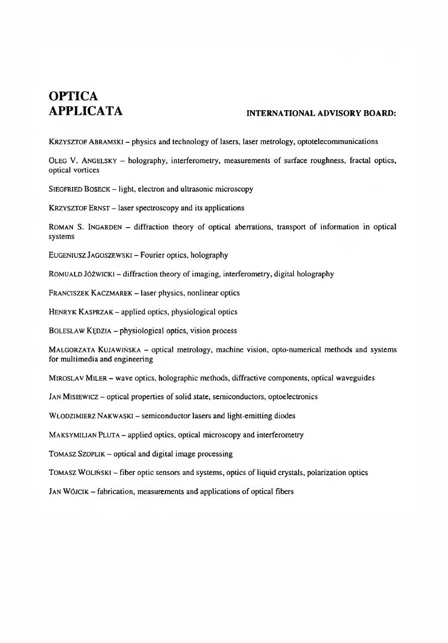# **OPTICA**

#### **INTERNATIONAL ADVISORY BOARD:**

KRZYSZTOF ABRAMSKI – physics and technology of lasers, laser metrology, optotelecommunications

Oleg V. Angelsky - holography, interferometry, measurements of surface roughness, fractal optics, optical vortices

SIEGFRIED BOSECK - light, electron and ultrasonic microscopy

KRZYSZTOF ERNST - laser spectroscopy and its applications

ROMAN S. INGARDEN - diffraction theory of optical aberrations, transport of information in optical systems

Eugeniusz Jagoszewski - Fourier optics, holography

ROMUALD JÓŻWICKI – diffraction theory of imaging, interferometry, digital holography

Franciszek Kaczmarek - laser physics, nonlinear optics

HENRYK KASPRZAK - applied optics, physiological optics

BOLESŁAW KĘDZIA – physiological optics, vision process

Małgorzata Kujawińska - optical metrology, machine vision, opto-numerical methods and systems for multimedia and engineering

MIROSLAV MILER - wave optics, holographic methods, diffractive components, optical waveguides

JAN MISIEWICZ - optical properties of solid state, semiconductors, optoelectronics

WŁODZIMIERZ NAKWASKI - semiconductor lasers and light-emitting diodes

MAKSYMILIAN PLUTA - applied optics, optical microscopy and interferometry

 $TOMASZ$  SZOPLIK  $-$  optical and digital image processing

Tomasz Woliński - fiber optic sensors and systems, optics of liquid crystals, polarization optics

JAN WÓJCIK - fabrication, measurements and applications of optical fibers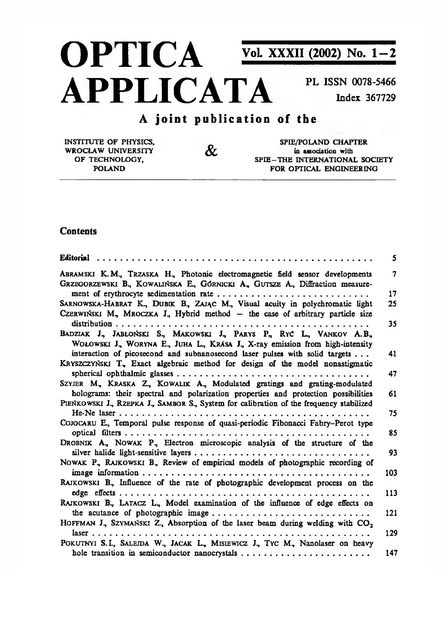# **OPTICA** Vol. XXXII (2002) No. 1-2 **APPLICATA**

PL ISSN 0078-5466 Index 367729

## A joint publication of the

 $\mathcal{X}$ 

**INSTITUTE OF PHYSICS.** WROCŁAW UNIVERSITY OF TECHNOLOGY. **POLAND** 

SPIE/POLAND CHAPTER in association with SPIE-THE INTERNATIONAL SOCIETY FOR OPTICAL ENGINEERING

#### **Contents**

|                                                                                                                                                                 | 5   |
|-----------------------------------------------------------------------------------------------------------------------------------------------------------------|-----|
| ABRAMSKI K.M., TRZASKA H., Photonic electromagnetic field sensor developments                                                                                   | 7   |
| GRZEGORZEWSKI B., KOWALIŃSKA E., GÓRNICKI A., GUTSZE A., Diffraction measure-<br>ment of erythrocyte sedimentation rate                                         | 17  |
| SARNOWSKA-HABRAT K., DUBIK B., ZAJĄC M., Visual acuity in polychromatic light                                                                                   | 25  |
| CZERWIŃSKI M, MROCZKA J, Hybrid method – the case of arbitrary particle size                                                                                    |     |
| BADZIAK J, JABŁOŃSKI S., MAKOWSKI J., PARYS P., RYĆ L., VANKOV A.B.,<br>WOLOWSKI J., WORYNA E., JUHA L., KRÁSA J., X-ray emission from high-intensity           | 35  |
| interaction of picosecond and subnanosecond laser pulses with solid targets<br>KRYSZCZYŃSKI T, Exact algebraic method for design of the model nonastigmatic     | 41  |
|                                                                                                                                                                 | 47  |
| SZYJER M, KRASKA Z., KOWALIK A., Modulated gratings and grating-modulated<br>holograms: their spectral and polarization properties and protection possibilities | 61  |
| PIENKOWSKI J., RZEPKA J., SAMBOR S., System for calibration of the frequency stabilized                                                                         |     |
| COJOCARU E., Temporal pulse response of quasi-periodic Fibonacci Fabry-Perot type                                                                               | 75  |
| DROBNIK A., NOWAK P., Electron microscopic analysis of the structure of the                                                                                     | 85  |
|                                                                                                                                                                 | 93  |
| NOWAK P., RAJKOWSKI B., Review of empirical models of photographic recording of                                                                                 | 103 |
| RAJKOWSKI B, Influence of the rate of photographic development process on the                                                                                   |     |
|                                                                                                                                                                 | 113 |
| RAJKOWSKI B., LATACZ L., Model examination of the influence of edge effects on                                                                                  | 121 |
| the acutance of photographic image<br>HOFFMAN J., SZYMAŃSKI Z., Absorption of the laser beam during welding with $CO2$                                          |     |
|                                                                                                                                                                 | 129 |
| POKUTNYI S.L., SALEJDA W., JACAK L., MISIEWICZ J., TYC M., Nanolaser on heavy                                                                                   |     |
| hole transition in semiconductor nanocrystals                                                                                                                   | 147 |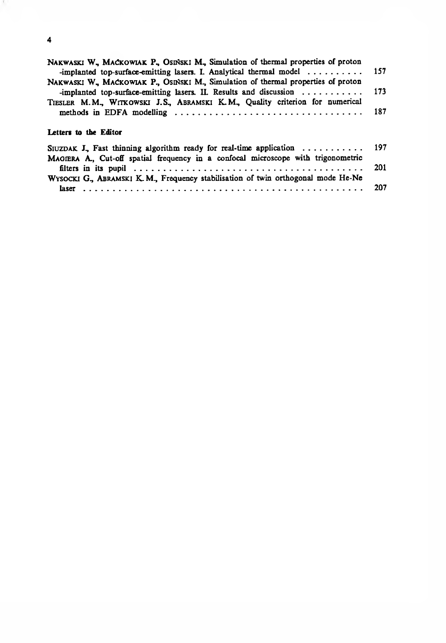| NAKWASKI W., MACKOWIAK P., OSINSKI M., Simulation of thermal properties of proton<br>-implanted top-surface-emitting lasers. I. Analytical thermal model 157 |     |
|--------------------------------------------------------------------------------------------------------------------------------------------------------------|-----|
| NAKWASKI W., MACKOWIAK P., OSIŃSKI M., Simulation of thermal properties of proton                                                                            |     |
| -implanted top-surface-emitting lasers. II. Results and discussion                                                                                           | 173 |
| TIESLER M.M., WITKOWSKI J.S., ABRAMSKI K.M., Quality criterion for numerical                                                                                 |     |
| Letters to the Editor                                                                                                                                        |     |
| SIUZDAK J., Fast thinning algorithm ready for real-time application $\ldots \ldots \ldots$                                                                   | 197 |
| MAGIERA A., Cut-off spatial frequency in a confocal microscope with trigonometric                                                                            |     |
|                                                                                                                                                              | 201 |
| WYSOCKI G., ABRAMSKI K. M., Frequency stabilisation of twin orthogonal mode He-Ne                                                                            |     |
|                                                                                                                                                              |     |

4

 $\mathbf{r}$